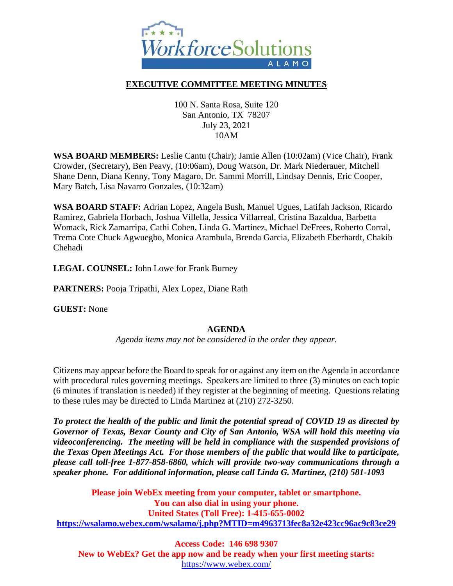

## **EXECUTIVE COMMITTEE MEETING MINUTES**

100 N. Santa Rosa, Suite 120 San Antonio, TX 78207 July 23, 2021 10AM

**WSA BOARD MEMBERS:** Leslie Cantu (Chair); Jamie Allen (10:02am) (Vice Chair), Frank Crowder, (Secretary), Ben Peavy, (10:06am), Doug Watson, Dr. Mark Niederauer, Mitchell Shane Denn, Diana Kenny, Tony Magaro, Dr. Sammi Morrill, Lindsay Dennis, Eric Cooper, Mary Batch, Lisa Navarro Gonzales, (10:32am)

**WSA BOARD STAFF:** Adrian Lopez, Angela Bush, Manuel Ugues, Latifah Jackson, Ricardo Ramirez, Gabriela Horbach, Joshua Villella, Jessica Villarreal, Cristina Bazaldua, Barbetta Womack, Rick Zamarripa, Cathi Cohen, Linda G. Martinez, Michael DeFrees, Roberto Corral, Trema Cote Chuck Agwuegbo, Monica Arambula, Brenda Garcia, Elizabeth Eberhardt, Chakib Chehadi

**LEGAL COUNSEL:** John Lowe for Frank Burney

**PARTNERS:** Pooja Tripathi, Alex Lopez, Diane Rath

**GUEST:** None

## **AGENDA**

*Agenda items may not be considered in the order they appear.*

Citizens may appear before the Board to speak for or against any item on the Agenda in accordance with procedural rules governing meetings. Speakers are limited to three (3) minutes on each topic (6 minutes if translation is needed) if they register at the beginning of meeting. Questions relating to these rules may be directed to Linda Martinez at (210) 272-3250.

*To protect the health of the public and limit the potential spread of COVID 19 as directed by Governor of Texas, Bexar County and City of San Antonio, WSA will hold this meeting via videoconferencing. The meeting will be held in compliance with the suspended provisions of the Texas Open Meetings Act. For those members of the public that would like to participate, please call toll-free 1-877-858-6860, which will provide two-way communications through a speaker phone. For additional information, please call Linda G. Martinez, (210) 581-1093*

**Please join WebEx meeting from your computer, tablet or smartphone. You can also dial in using your phone. United States (Toll Free): 1-415-655-0002 <https://wsalamo.webex.com/wsalamo/j.php?MTID=m4963713fec8a32e423cc96ac9c83ce29>**

**Access Code: 146 698 9307 New to WebEx? Get the app now and be ready when your first meeting starts:**  <https://www.webex.com/>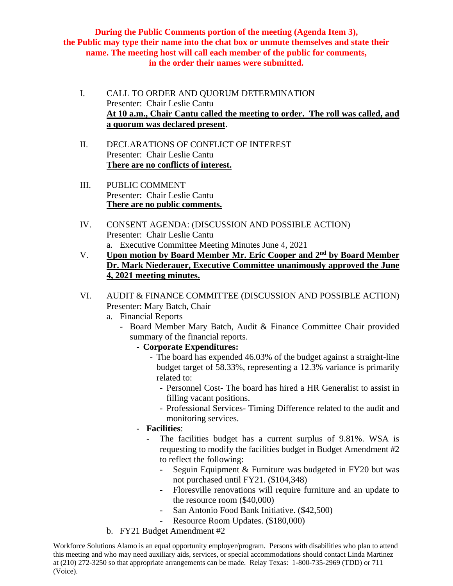**During the Public Comments portion of the meeting (Agenda Item 3), the Public may type their name into the chat box or unmute themselves and state their name. The meeting host will call each member of the public for comments, in the order their names were submitted.**

- I. CALL TO ORDER AND QUORUM DETERMINATION Presenter: Chair Leslie Cantu **At 10 a.m., Chair Cantu called the meeting to order. The roll was called, and a quorum was declared present**.
- II. DECLARATIONS OF CONFLICT OF INTEREST Presenter: Chair Leslie Cantu **There are no conflicts of interest.**
- III. PUBLIC COMMENT Presenter: Chair Leslie Cantu **There are no public comments.**
- IV. CONSENT AGENDA: (DISCUSSION AND POSSIBLE ACTION) Presenter: Chair Leslie Cantu a. Executive Committee Meeting Minutes June 4, 2021
- V. **Upon motion by Board Member Mr. Eric Cooper and 2nd by Board Member Dr. Mark Niederauer, Executive Committee unanimously approved the June 4, 2021 meeting minutes.**
- VI. AUDIT & FINANCE COMMITTEE (DISCUSSION AND POSSIBLE ACTION) Presenter: Mary Batch, Chair
	- a. Financial Reports
		- Board Member Mary Batch, Audit & Finance Committee Chair provided summary of the financial reports.
			- **Corporate Expenditures:**
				- The board has expended 46.03% of the budget against a straight-line budget target of 58.33%, representing a 12.3% variance is primarily related to:
					- Personnel Cost- The board has hired a HR Generalist to assist in filling vacant positions.
					- Professional Services- Timing Difference related to the audit and monitoring services.
			- **Facilities**:
				- The facilities budget has a current surplus of 9.81%. WSA is requesting to modify the facilities budget in Budget Amendment #2 to reflect the following:
					- Seguin Equipment & Furniture was budgeted in FY20 but was not purchased until FY21. (\$104,348)
					- Floresville renovations will require furniture and an update to the resource room (\$40,000)
					- San Antonio Food Bank Initiative. (\$42,500)
					- Resource Room Updates. (\$180,000)
	- b. FY21 Budget Amendment #2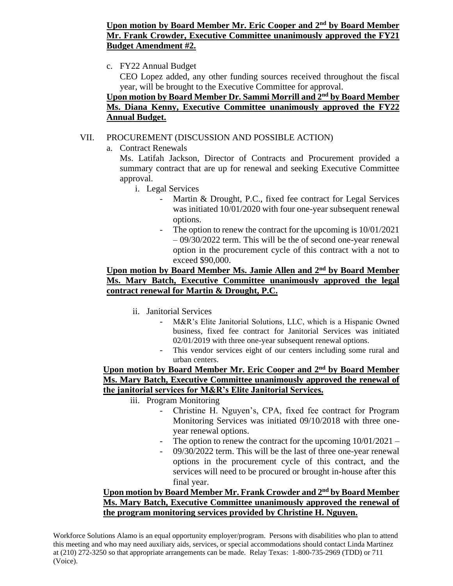#### **Upon motion by Board Member Mr. Eric Cooper and 2nd by Board Member Mr. Frank Crowder, Executive Committee unanimously approved the FY21 Budget Amendment #2.**

c. FY22 Annual Budget

CEO Lopez added, any other funding sources received throughout the fiscal year, will be brought to the Executive Committee for approval.

## **Upon motion by Board Member Dr. Sammi Morrill and 2nd by Board Member Ms. Diana Kenny, Executive Committee unanimously approved the FY22 Annual Budget.**

## VII. PROCUREMENT (DISCUSSION AND POSSIBLE ACTION)

a. Contract Renewals

Ms. Latifah Jackson, Director of Contracts and Procurement provided a summary contract that are up for renewal and seeking Executive Committee approval.

- i. Legal Services
	- Martin & Drought, P.C., fixed fee contract for Legal Services was initiated 10/01/2020 with four one-year subsequent renewal options.
	- The option to renew the contract for the upcoming is  $10/01/2021$ – 09/30/2022 term. This will be the of second one-year renewal option in the procurement cycle of this contract with a not to exceed \$90,000.

## **Upon motion by Board Member Ms. Jamie Allen and 2nd by Board Member Ms. Mary Batch, Executive Committee unanimously approved the legal contract renewal for Martin & Drought, P.C.**

- ii. Janitorial Services
	- M&R's Elite Janitorial Solutions, LLC, which is a Hispanic Owned business, fixed fee contract for Janitorial Services was initiated 02/01/2019 with three one-year subsequent renewal options.
	- This vendor services eight of our centers including some rural and urban centers.

# **Upon motion by Board Member Mr. Eric Cooper and 2nd by Board Member Ms. Mary Batch, Executive Committee unanimously approved the renewal of the janitorial services for M&R's Elite Janitorial Services.**

iii. Program Monitoring

- Christine H. Nguyen's, CPA, fixed fee contract for Program Monitoring Services was initiated 09/10/2018 with three oneyear renewal options.
- The option to renew the contract for the upcoming  $10/01/2021$  –
- 09/30/2022 term. This will be the last of three one-year renewal options in the procurement cycle of this contract, and the services will need to be procured or brought in-house after this final year.

## **Upon motion by Board Member Mr. Frank Crowder and 2nd by Board Member Ms. Mary Batch, Executive Committee unanimously approved the renewal of the program monitoring services provided by Christine H. Nguyen.**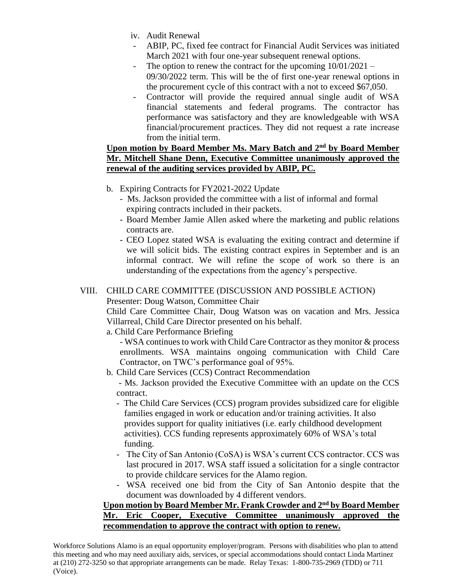- iv. Audit Renewal
- ABIP, PC, fixed fee contract for Financial Audit Services was initiated March 2021 with four one-year subsequent renewal options.
- The option to renew the contract for the upcoming  $10/01/2021$  09/30/2022 term. This will be the of first one-year renewal options in the procurement cycle of this contract with a not to exceed \$67,050.
- Contractor will provide the required annual single audit of WSA financial statements and federal programs. The contractor has performance was satisfactory and they are knowledgeable with WSA financial/procurement practices. They did not request a rate increase from the initial term.

## **Upon motion by Board Member Ms. Mary Batch and 2nd by Board Member Mr. Mitchell Shane Denn, Executive Committee unanimously approved the renewal of the auditing services provided by ABIP, PC.**

- b. Expiring Contracts for FY2021-2022 Update
	- Ms. Jackson provided the committee with a list of informal and formal expiring contracts included in their packets.
	- Board Member Jamie Allen asked where the marketing and public relations contracts are.
	- CEO Lopez stated WSA is evaluating the exiting contract and determine if we will solicit bids. The existing contract expires in September and is an informal contract. We will refine the scope of work so there is an understanding of the expectations from the agency's perspective.

#### VIII. CHILD CARE COMMITTEE (DISCUSSION AND POSSIBLE ACTION) Presenter: Doug Watson, Committee Chair

Child Care Committee Chair, Doug Watson was on vacation and Mrs. Jessica

Villarreal, Child Care Director presented on his behalf.

a. Child Care Performance Briefing

- WSA continues to work with Child Care Contractor as they monitor & process enrollments. WSA maintains ongoing communication with Child Care Contractor, on TWC's performance goal of 95%.

b. Child Care Services (CCS) Contract Recommendation

- Ms. Jackson provided the Executive Committee with an update on the CCS contract.

- The Child Care Services (CCS) program provides subsidized care for eligible families engaged in work or education and/or training activities. It also provides support for quality initiatives (i.e. early childhood development activities). CCS funding represents approximately 60% of WSA's total funding.
- The City of San Antonio (CoSA) is WSA's current CCS contractor. CCS was last procured in 2017. WSA staff issued a solicitation for a single contractor to provide childcare services for the Alamo region.
- WSA received one bid from the City of San Antonio despite that the document was downloaded by 4 different vendors.

## **Upon motion by Board Member Mr. Frank Crowder and 2nd by Board Member Mr. Eric Cooper, Executive Committee unanimously approved the recommendation to approve the contract with option to renew.**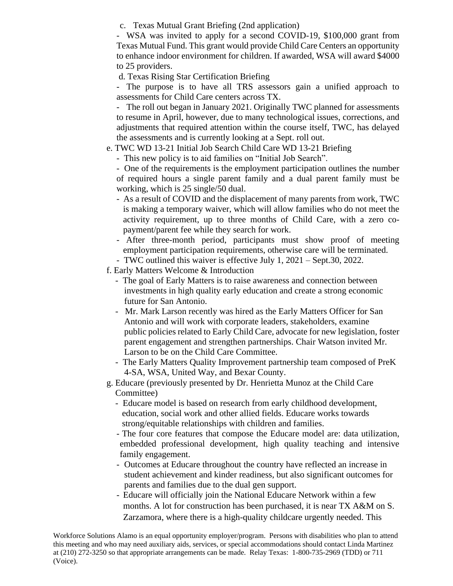c. Texas Mutual Grant Briefing (2nd application)

- WSA was invited to apply for a second COVID-19, \$100,000 grant from Texas Mutual Fund. This grant would provide Child Care Centers an opportunity to enhance indoor environment for children. If awarded, WSA will award \$4000 to 25 providers.

d. Texas Rising Star Certification Briefing

- The purpose is to have all TRS assessors gain a unified approach to assessments for Child Care centers across TX.

- The roll out began in January 2021. Originally TWC planned for assessments to resume in April, however, due to many technological issues, corrections, and adjustments that required attention within the course itself, TWC, has delayed the assessments and is currently looking at a Sept. roll out.

- e. TWC WD 13-21 Initial Job Search Child Care WD 13-21 Briefing
	- This new policy is to aid families on "Initial Job Search".

- One of the requirements is the employment participation outlines the number of required hours a single parent family and a dual parent family must be working, which is 25 single/50 dual.

- As a result of COVID and the displacement of many parents from work, TWC is making a temporary waiver, which will allow families who do not meet the activity requirement, up to three months of Child Care, with a zero copayment/parent fee while they search for work.
- After three-month period, participants must show proof of meeting employment participation requirements, otherwise care will be terminated.
- TWC outlined this waiver is effective July 1, 2021 Sept.30, 2022.
- f. Early Matters Welcome & Introduction
	- The goal of Early Matters is to raise awareness and connection between investments in high quality early education and create a strong economic future for San Antonio.
	- Mr. Mark Larson recently was hired as the Early Matters Officer for San Antonio and will work with corporate leaders, stakeholders, examine public policies related to Early Child Care, advocate for new legislation, foster parent engagement and strengthen partnerships. Chair Watson invited Mr. Larson to be on the Child Care Committee.
	- The Early Matters Quality Improvement partnership team composed of PreK 4-SA, WSA, United Way, and Bexar County.
- g. Educare (previously presented by Dr. Henrietta Munoz at the Child Care Committee)
	- Educare model is based on research from early childhood development, education, social work and other allied fields. Educare works towards strong/equitable relationships with children and families.

- The four core features that compose the Educare model are: data utilization, embedded professional development, high quality teaching and intensive family engagement.

- Outcomes at Educare throughout the country have reflected an increase in student achievement and kinder readiness, but also significant outcomes for parents and families due to the dual gen support.
- Educare will officially join the National Educare Network within a few months. A lot for construction has been purchased, it is near TX A&M on S. Zarzamora, where there is a high-quality childcare urgently needed. This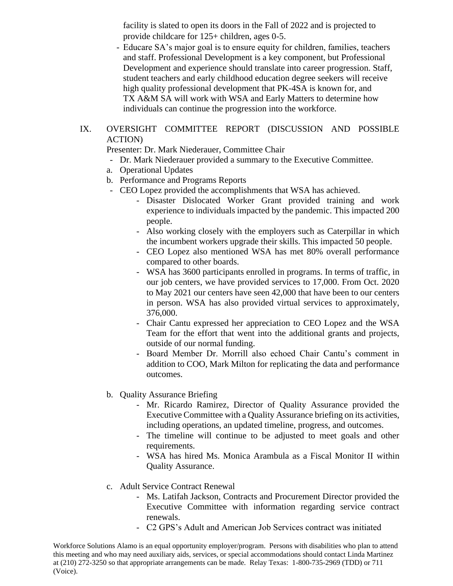facility is slated to open its doors in the Fall of 2022 and is projected to provide childcare for 125+ children, ages 0-5.

- Educare SA's major goal is to ensure equity for children, families, teachers and staff. Professional Development is a key component, but Professional Development and experience should translate into career progression. Staff, student teachers and early childhood education degree seekers will receive high quality professional development that PK-4SA is known for, and TX A&M SA will work with WSA and Early Matters to determine how individuals can continue the progression into the workforce.

### IX. OVERSIGHT COMMITTEE REPORT (DISCUSSION AND POSSIBLE ACTION)

Presenter: Dr. Mark Niederauer, Committee Chair

- Dr. Mark Niederauer provided a summary to the Executive Committee.
- a. Operational Updates
- b. Performance and Programs Reports
- CEO Lopez provided the accomplishments that WSA has achieved.
	- Disaster Dislocated Worker Grant provided training and work experience to individuals impacted by the pandemic. This impacted 200 people.
	- Also working closely with the employers such as Caterpillar in which the incumbent workers upgrade their skills. This impacted 50 people.
	- CEO Lopez also mentioned WSA has met 80% overall performance compared to other boards.
	- WSA has 3600 participants enrolled in programs. In terms of traffic, in our job centers, we have provided services to 17,000. From Oct. 2020 to May 2021 our centers have seen 42,000 that have been to our centers in person. WSA has also provided virtual services to approximately, 376,000.
	- Chair Cantu expressed her appreciation to CEO Lopez and the WSA Team for the effort that went into the additional grants and projects, outside of our normal funding.
	- Board Member Dr. Morrill also echoed Chair Cantu's comment in addition to COO, Mark Milton for replicating the data and performance outcomes.
- b. Quality Assurance Briefing
	- Mr. Ricardo Ramirez, Director of Quality Assurance provided the Executive Committee with a Quality Assurance briefing on its activities, including operations, an updated timeline, progress, and outcomes.
	- The timeline will continue to be adjusted to meet goals and other requirements.
	- WSA has hired Ms. Monica Arambula as a Fiscal Monitor II within Quality Assurance.
- c. Adult Service Contract Renewal
	- Ms. Latifah Jackson, Contracts and Procurement Director provided the Executive Committee with information regarding service contract renewals.
	- C2 GPS's Adult and American Job Services contract was initiated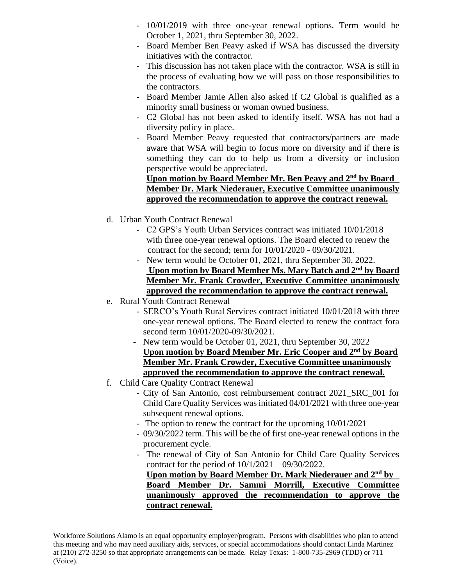- 10/01/2019 with three one-year renewal options. Term would be October 1, 2021, thru September 30, 2022.
- Board Member Ben Peavy asked if WSA has discussed the diversity initiatives with the contractor.
- This discussion has not taken place with the contractor. WSA is still in the process of evaluating how we will pass on those responsibilities to the contractors.
- Board Member Jamie Allen also asked if C2 Global is qualified as a minority small business or woman owned business.
- C2 Global has not been asked to identify itself. WSA has not had a diversity policy in place.
- Board Member Peavy requested that contractors/partners are made aware that WSA will begin to focus more on diversity and if there is something they can do to help us from a diversity or inclusion perspective would be appreciated.

#### **Upon motion by Board Member Mr. Ben Peavy and 2nd by Board Member Dr. Mark Niederauer, Executive Committee unanimously approved the recommendation to approve the contract renewal.**

- d. Urban Youth Contract Renewal
	- C2 GPS's Youth Urban Services contract was initiated 10/01/2018 with three one-year renewal options. The Board elected to renew the contract for the second; term for 10/01/2020 - 09/30/2021.
	- New term would be October 01, 2021, thru September 30, 2022. **Upon motion by Board Member Ms. Mary Batch and 2nd by Board Member Mr. Frank Crowder, Executive Committee unanimously approved the recommendation to approve the contract renewal.**
- e. Rural Youth Contract Renewal
	- SERCO's Youth Rural Services contract initiated 10/01/2018 with three one-year renewal options. The Board elected to renew the contract fora second term 10/01/2020-09/30/2021.
	- New term would be October 01, 2021, thru September 30, 2022 **Upon motion by Board Member Mr. Eric Cooper and 2nd by Board Member Mr. Frank Crowder, Executive Committee unanimously approved the recommendation to approve the contract renewal.**
- f. Child Care Quality Contract Renewal
	- City of San Antonio, cost reimbursement contract 2021\_SRC\_001 for Child Care Quality Services was initiated 04/01/2021 with three one-year subsequent renewal options.
	- The option to renew the contract for the upcoming  $10/01/2021$  –
	- 09/30/2022 term. This will be the of first one-year renewal options in the procurement cycle.
	- The renewal of City of San Antonio for Child Care Quality Services contract for the period of 10/1/2021 – 09/30/2022.

**Upon motion by Board Member Dr. Mark Niederauer and 2nd by Board Member Dr. Sammi Morrill, Executive Committee unanimously approved the recommendation to approve the contract renewal.**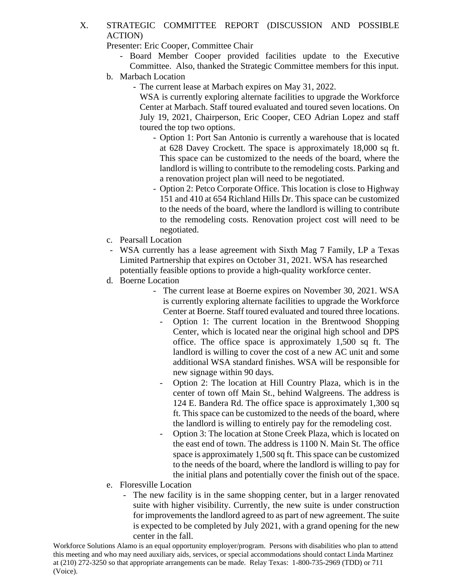X. STRATEGIC COMMITTEE REPORT (DISCUSSION AND POSSIBLE ACTION)

Presenter: Eric Cooper, Committee Chair

- Board Member Cooper provided facilities update to the Executive Committee. Also, thanked the Strategic Committee members for this input.
- b. Marbach Location
	- The current lease at Marbach expires on May 31, 2022.

WSA is currently exploring alternate facilities to upgrade the Workforce Center at Marbach. Staff toured evaluated and toured seven locations. On July 19, 2021, Chairperson, Eric Cooper, CEO Adrian Lopez and staff toured the top two options.

- Option 1: Port San Antonio is currently a warehouse that is located at 628 Davey Crockett. The space is approximately 18,000 sq ft. This space can be customized to the needs of the board, where the landlord is willing to contribute to the remodeling costs. Parking and a renovation project plan will need to be negotiated.
- Option 2: Petco Corporate Office. This location is close to Highway 151 and 410 at 654 Richland Hills Dr. This space can be customized to the needs of the board, where the landlord is willing to contribute to the remodeling costs. Renovation project cost will need to be negotiated.
- c. Pearsall Location
- WSA currently has a lease agreement with Sixth Mag 7 Family, LP a Texas Limited Partnership that expires on October 31, 2021. WSA has researched potentially feasible options to provide a high-quality workforce center.
- d. Boerne Location
	- The current lease at Boerne expires on November 30, 2021. WSA is currently exploring alternate facilities to upgrade the Workforce Center at Boerne. Staff toured evaluated and toured three locations.
		- Option 1: The current location in the Brentwood Shopping Center, which is located near the original high school and DPS office. The office space is approximately 1,500 sq ft. The landlord is willing to cover the cost of a new AC unit and some additional WSA standard finishes. WSA will be responsible for new signage within 90 days.
		- Option 2: The location at Hill Country Plaza, which is in the center of town off Main St., behind Walgreens. The address is 124 E. Bandera Rd. The office space is approximately 1,300 sq ft. This space can be customized to the needs of the board, where the landlord is willing to entirely pay for the remodeling cost.
		- Option 3: The location at Stone Creek Plaza, which is located on the east end of town. The address is 1100 N. Main St. The office space is approximately 1,500 sq ft. This space can be customized to the needs of the board, where the landlord is willing to pay for the initial plans and potentially cover the finish out of the space.
- e. Floresville Location
	- The new facility is in the same shopping center, but in a larger renovated suite with higher visibility. Currently, the new suite is under construction for improvements the landlord agreed to as part of new agreement. The suite is expected to be completed by July 2021, with a grand opening for the new center in the fall.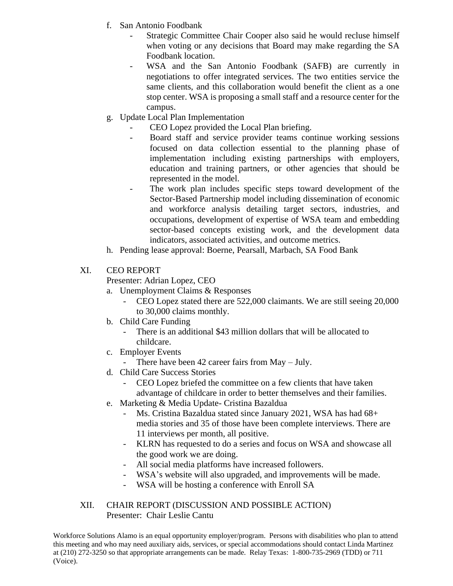- f. San Antonio Foodbank
	- Strategic Committee Chair Cooper also said he would recluse himself when voting or any decisions that Board may make regarding the SA Foodbank location.
	- WSA and the San Antonio Foodbank (SAFB) are currently in negotiations to offer integrated services. The two entities service the same clients, and this collaboration would benefit the client as a one stop center. WSA is proposing a small staff and a resource center for the campus.
- g. Update Local Plan Implementation
	- CEO Lopez provided the Local Plan briefing.
	- Board staff and service provider teams continue working sessions focused on data collection essential to the planning phase of implementation including existing partnerships with employers, education and training partners, or other agencies that should be represented in the model.
	- The work plan includes specific steps toward development of the Sector-Based Partnership model including dissemination of economic and workforce analysis detailing target sectors, industries, and occupations, development of expertise of WSA team and embedding sector-based concepts existing work, and the development data indicators, associated activities, and outcome metrics.
- h. Pending lease approval: Boerne, Pearsall, Marbach, SA Food Bank

## XI. CEO REPORT

Presenter: Adrian Lopez, CEO

- a. Unemployment Claims & Responses
	- CEO Lopez stated there are 522,000 claimants. We are still seeing 20,000 to 30,000 claims monthly.
- b. Child Care Funding
	- There is an additional \$43 million dollars that will be allocated to childcare.
- c. Employer Events
	- There have been  $42$  career fairs from May July.
- d. Child Care Success Stories
	- CEO Lopez briefed the committee on a few clients that have taken advantage of childcare in order to better themselves and their families.
- e. Marketing & Media Update- Cristina Bazaldua
	- Ms. Cristina Bazaldua stated since January 2021, WSA has had 68+ media stories and 35 of those have been complete interviews. There are 11 interviews per month, all positive.
	- KLRN has requested to do a series and focus on WSA and showcase all the good work we are doing.
	- All social media platforms have increased followers.
	- WSA's website will also upgraded, and improvements will be made.
	- WSA will be hosting a conference with Enroll SA
- XII. CHAIR REPORT (DISCUSSION AND POSSIBLE ACTION) Presenter: Chair Leslie Cantu